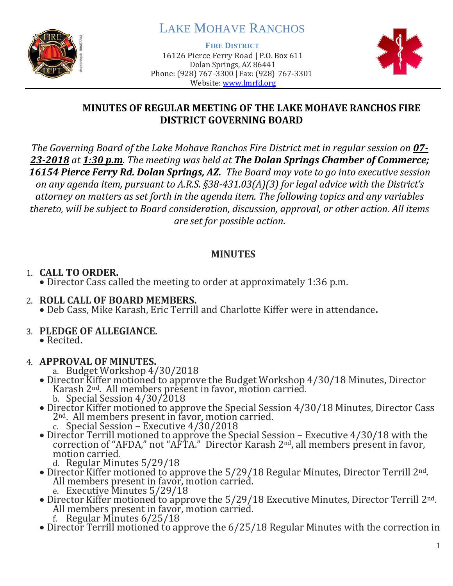

# LAKE MOHAVE RANCHOS

**FIRE DISTRICT**

16126 Pierce Ferry Road | P.O. Box 611 Dolan Springs, AZ 86441 Phone: (928) 767-3300 | Fax: (928) 767-3301 Website: [www.lmrfd.org](http://www.lmrfd.org/)



## **MINUTES OF REGULAR MEETING OF THE LAKE MOHAVE RANCHOS FIRE DISTRICT GOVERNING BOARD**

*The Governing Board of the Lake Mohave Ranchos Fire District met in regular session on 07- 23-2018 at 1:30 p.m. The meeting was held at The Dolan Springs Chamber of Commerce; 16154 Pierce Ferry Rd. Dolan Springs, AZ. The Board may vote to go into executive session on any agenda item, pursuant to A.R.S. §38-431.03(A)(3) for legal advice with the District's attorney on matters as set forth in the agenda item. The following topics and any variables thereto, will be subject to Board consideration, discussion, approval, or other action. All items are set for possible action.*

## **MINUTES**

# 1. **CALL TO ORDER.**

- Director Cass called the meeting to order at approximately 1:36 p.m.
- 2. **ROLL CALL OF BOARD MEMBERS.** • Deb Cass, Mike Karash, Eric Terrill and Charlotte Kiffer were in attendance**.**

## 3. **PLEDGE OF ALLEGIANCE.**

• Recited**.**

# 4. **APPROVAL OF MINUTES.**

- a. Budget Workshop 4/30/2018
- Director Kiffer motioned to approve the Budget Workshop 4/30/18 Minutes, Director Karash 2nd. All members present in favor, motion carried. b. Special Session 4/30/2018
- Director Kiffer motioned to approve the Special Session 4/30/18 Minutes, Director Cass 2nd. All members present in favor, motion carried. c. Special Session – Executive 4/30/2018
- Director Terrill motioned to approve the Special Session Executive 4/30/18 with the correction of "AFDA," not "AFTA." Director Karash  $2<sup>nd</sup>$ , all members present in favor, motion carried.
	- d. Regular Minutes 5/29/18
- Director Kiffer motioned to approve the 5/29/18 Regular Minutes, Director Terrill 2<sup>nd</sup>. All members present in favor, motion carried. e. Executive Minutes 5/29/18
- Director Kiffer motioned to approve the 5/29/18 Executive Minutes, Director Terrill 2<sup>nd</sup>. All members present in favor, motion carried.
	- f. Regular Minutes 6/25/18
- Director Terrill motioned to approve the 6/25/18 Regular Minutes with the correction in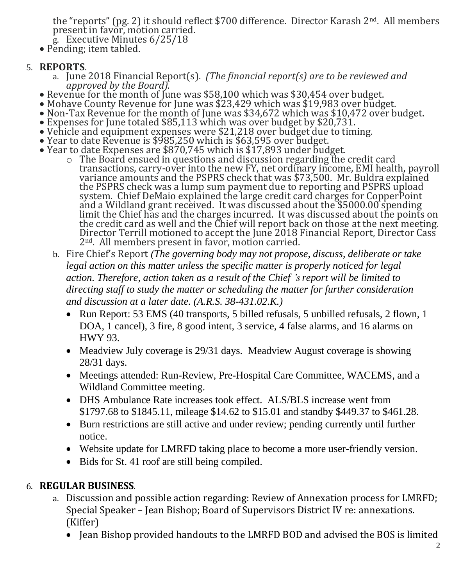the "reports" (pg. 2) it should reflect \$700 difference. Director Karash 2<sup>nd</sup>. All members present in favor, motion carried. g. Executive Minutes 6/25/18

• Pending; item tabled.

## 5. **REPORTS**.

- a. June 2018 Financial Report(s). *(The financial report(s) are to be reviewed and approved by the Board).*
- Revenue for the month of June was \$58,100 which was \$30,454 over budget.
- Mohave County Revenue for June was \$23,429 which was \$19,983 over budget.
- Non-Tax Revenue for the month of June was \$34,672 which was \$10,472 over budget.
- Expenses for June totaled \$85,113 which was over budget by \$20,731.
- Vehicle and equipment expenses were \$21,218 over budget due to timing. • Year to date Revenue is \$985,250 which is \$63,595 over budget.
- Year to date Expenses are \$870,745 which is \$17,893 under budget.
	- o The Board ensued in questions and discussion regarding the credit card transactions, carry-over into the new FY, net ordinary income, EMI health, payroll variance amounts and the PSPRS check that was \$73,500. Mr. Buldra explained the PSPRS check was a lump sum payment due to reporting and PSPRS upload system. Chief DeMaio explained the large credit card charges for CopperPoint and a Wildland grant received. It was discussed about the \$5000.00 spending limit the Chief has and the charges incurred. It was discussed about the points on the credit card as well and the Chief will report back on those at the next meeting. Director Terrill motioned to accept the June 2018 Financial Report, Director Cass 2<sup>nd</sup>. All members present in favor, motion carried.
	- b. Fire Chief's Report *(The governing body may not propose, discuss, deliberate or take legal action on this matter unless the specific matter is properly noticed for legal action. Therefore, action taken as a result of the Chief 's report will be limited to directing staff to study the matter or scheduling the matter for further consideration and discussion at a later date. (A.R.S. 38-431.02.K.)*
		- Run Report: 53 EMS (40 transports, 5 billed refusals, 5 unbilled refusals, 2 flown, 1 DOA, 1 cancel), 3 fire, 8 good intent, 3 service, 4 false alarms, and 16 alarms on HWY 93.
		- Meadview July coverage is 29/31 days. Meadview August coverage is showing 28/31 days.
		- Meetings attended: Run-Review, Pre-Hospital Care Committee, WACEMS, and a Wildland Committee meeting.
		- DHS Ambulance Rate increases took effect. ALS/BLS increase went from \$1797.68 to \$1845.11, mileage \$14.62 to \$15.01 and standby \$449.37 to \$461.28.
		- Burn restrictions are still active and under review; pending currently until further notice.
		- Website update for LMRFD taking place to become a more user-friendly version.
		- Bids for St. 41 roof are still being compiled.

# 6. **REGULAR BUSINESS**.

- a. Discussion and possible action regarding: Review of Annexation process for LMRFD; Special Speaker – Jean Bishop; Board of Supervisors District IV re: annexations. (Kiffer)
	- Jean Bishop provided handouts to the LMRFD BOD and advised the BOS is limited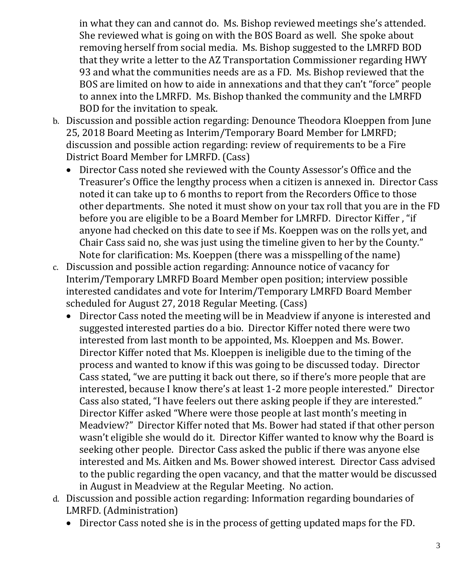in what they can and cannot do. Ms. Bishop reviewed meetings she's attended. She reviewed what is going on with the BOS Board as well. She spoke about removing herself from social media. Ms. Bishop suggested to the LMRFD BOD that they write a letter to the AZ Transportation Commissioner regarding HWY 93 and what the communities needs are as a FD. Ms. Bishop reviewed that the BOS are limited on how to aide in annexations and that they can't "force" people to annex into the LMRFD. Ms. Bishop thanked the community and the LMRFD BOD for the invitation to speak.

- b. Discussion and possible action regarding: Denounce Theodora Kloeppen from June 25, 2018 Board Meeting as Interim/Temporary Board Member for LMRFD; discussion and possible action regarding: review of requirements to be a Fire District Board Member for LMRFD. (Cass)
	- Director Cass noted she reviewed with the County Assessor's Office and the Treasurer's Office the lengthy process when a citizen is annexed in. Director Cass noted it can take up to 6 months to report from the Recorders Office to those other departments. She noted it must show on your tax roll that you are in the FD before you are eligible to be a Board Member for LMRFD. Director Kiffer , "if anyone had checked on this date to see if Ms. Koeppen was on the rolls yet, and Chair Cass said no, she was just using the timeline given to her by the County." Note for clarification: Ms. Koeppen (there was a misspelling of the name)
- c. Discussion and possible action regarding: Announce notice of vacancy for Interim/Temporary LMRFD Board Member open position; interview possible interested candidates and vote for Interim/Temporary LMRFD Board Member scheduled for August 27, 2018 Regular Meeting. (Cass)
	- Director Cass noted the meeting will be in Meadview if anyone is interested and suggested interested parties do a bio. Director Kiffer noted there were two interested from last month to be appointed, Ms. Kloeppen and Ms. Bower. Director Kiffer noted that Ms. Kloeppen is ineligible due to the timing of the process and wanted to know if this was going to be discussed today. Director Cass stated, "we are putting it back out there, so if there's more people that are interested, because I know there's at least 1-2 more people interested." Director Cass also stated, "I have feelers out there asking people if they are interested." Director Kiffer asked "Where were those people at last month's meeting in Meadview?" Director Kiffer noted that Ms. Bower had stated if that other person wasn't eligible she would do it. Director Kiffer wanted to know why the Board is seeking other people. Director Cass asked the public if there was anyone else interested and Ms. Aitken and Ms. Bower showed interest. Director Cass advised to the public regarding the open vacancy, and that the matter would be discussed in August in Meadview at the Regular Meeting. No action.
- d. Discussion and possible action regarding: Information regarding boundaries of LMRFD. (Administration)
	- Director Cass noted she is in the process of getting updated maps for the FD.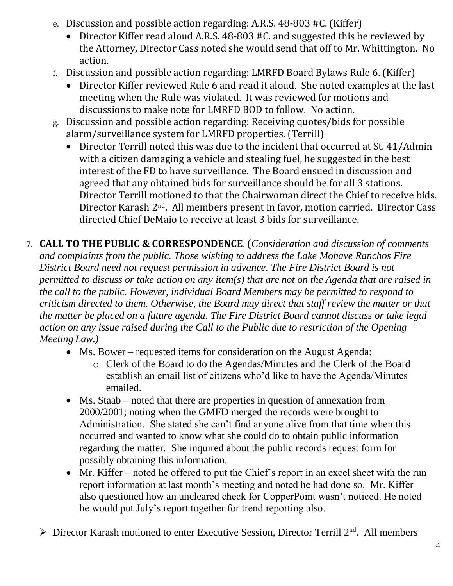- e. Discussion and possible action regarding: A.R.S. 48-803 #C. (Kiffer)
	- Director Kiffer read aloud A.R.S. 48-803 #C. and suggested this be reviewed by the Attorney, Director Cass noted she would send that off to Mr. Whittington. No action.
- f. Discussion and possible action regarding: LMRFD Board Bylaws Rule 6. (Kiffer)
	- Director Kiffer reviewed Rule 6 and read it aloud. She noted examples at the last meeting when the Rule was violated. It was reviewed for motions and discussions to make note for LMRFD BOD to follow. No action.
- g. Discussion and possible action regarding: Receiving quotes/bids for possible alarm/surveillance system for LMRFD properties. (Terrill)
	- Director Terrill noted this was due to the incident that occurred at St. 41/Admin with a citizen damaging a vehicle and stealing fuel, he suggested in the best interest of the FD to have surveillance. The Board ensued in discussion and agreed that any obtained bids for surveillance should be for all 3 stations. Director Terrill motioned to that the Chairwoman direct the Chief to receive bids. Director Karash 2nd. All members present in favor, motion carried. Director Cass directed Chief DeMaio to receive at least 3 bids for surveillance.
- 7. **CALL TO THE PUBLIC & CORRESPONDENCE**. (*Consideration and discussion of comments and complaints from the public. Those wishing to address the Lake Mohave Ranchos Fire District Board need not request permission in advance. The Fire District Board is not permitted to discuss or take action on any item(s) that are not on the Agenda that are raised in the call to the public. However, individual Board Members may be permitted to respond to criticism directed to them. Otherwise, the Board may direct that staff review the matter or that the matter be placed on a future agenda. The Fire District Board cannot discuss or take legal action on any issue raised during the Call to the Public due to restriction of the Opening Meeting Law.)*
	- Ms. Bower requested items for consideration on the August Agenda:
		- o Clerk of the Board to do the Agendas/Minutes and the Clerk of the Board establish an email list of citizens who'd like to have the Agenda/Minutes emailed.
	- Ms. Staab noted that there are properties in question of annexation from 2000/2001; noting when the GMFD merged the records were brought to Administration. She stated she can't find anyone alive from that time when this occurred and wanted to know what she could do to obtain public information regarding the matter. She inquired about the public records request form for possibly obtaining this information.
	- Mr. Kiffer noted he offered to put the Chief's report in an excel sheet with the run report information at last month's meeting and noted he had done so. Mr. Kiffer also questioned how an uncleared check for CopperPoint wasn't noticed. He noted he would put July's report together for trend reporting also.
	- $\triangleright$  Director Karash motioned to enter Executive Session, Director Terrill 2<sup>nd</sup>. All members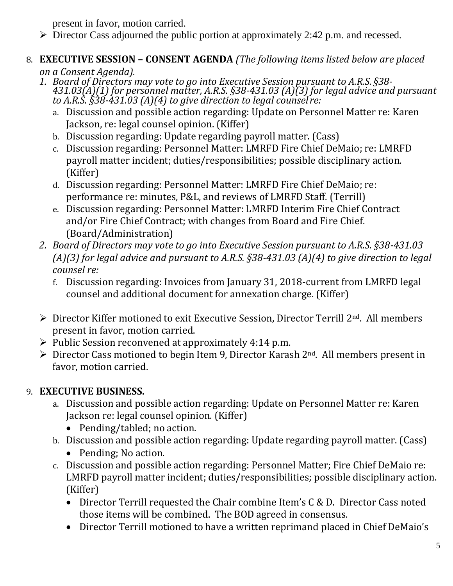present in favor, motion carried.

➢ Director Cass adjourned the public portion at approximately 2:42 p.m. and recessed*.* 

#### 8. **EXECUTIVE SESSION – CONSENT AGENDA** *(The following items listed below are placed on a Consent Agenda).*

- *1. Board of Directors may vote to go into Executive Session pursuant to A.R.S. §38- 431.03(A)(1) for personnel matter, A.R.S. §38-431.03 (A)(3) for legal advice and pursuant to A.R.S. §38-431.03 (A)(4) to give direction to legal counsel re:*
	- a. Discussion and possible action regarding: Update on Personnel Matter re: Karen Jackson, re: legal counsel opinion. (Kiffer)
	- b. Discussion regarding: Update regarding payroll matter. (Cass)
	- c. Discussion regarding: Personnel Matter: LMRFD Fire Chief DeMaio; re: LMRFD payroll matter incident; duties/responsibilities; possible disciplinary action. (Kiffer)
	- d. Discussion regarding: Personnel Matter: LMRFD Fire Chief DeMaio; re: performance re: minutes, P&L, and reviews of LMRFD Staff. (Terrill)
	- e. Discussion regarding: Personnel Matter: LMRFD Interim Fire Chief Contract and/or Fire Chief Contract; with changes from Board and Fire Chief. (Board/Administration)
- *2. Board of Directors may vote to go into Executive Session pursuant to A.R.S. §38-431.03 (A)(3) for legal advice and pursuant to A.R.S. §38-431.03 (A)(4) to give direction to legal counsel re:*
	- f. Discussion regarding: Invoices from January 31, 2018-current from LMRFD legal counsel and additional document for annexation charge. (Kiffer)
- ➢ Director Kiffer motioned to exit Executive Session, Director Terrill 2nd. All members present in favor, motion carried.
- ➢ Public Session reconvened at approximately 4:14 p.m.
- $\triangleright$  Director Cass motioned to begin Item 9, Director Karash 2<sup>nd</sup>. All members present in favor, motion carried.

# 9. **EXECUTIVE BUSINESS.**

- a. Discussion and possible action regarding: Update on Personnel Matter re: Karen Jackson re: legal counsel opinion. (Kiffer)
	- Pending/tabled; no action.
- b. Discussion and possible action regarding: Update regarding payroll matter. (Cass)
	- Pending; No action.
- c. Discussion and possible action regarding: Personnel Matter; Fire Chief DeMaio re: LMRFD payroll matter incident; duties/responsibilities; possible disciplinary action. (Kiffer)
	- Director Terrill requested the Chair combine Item's C & D. Director Cass noted those items will be combined. The BOD agreed in consensus.
	- Director Terrill motioned to have a written reprimand placed in Chief DeMaio's